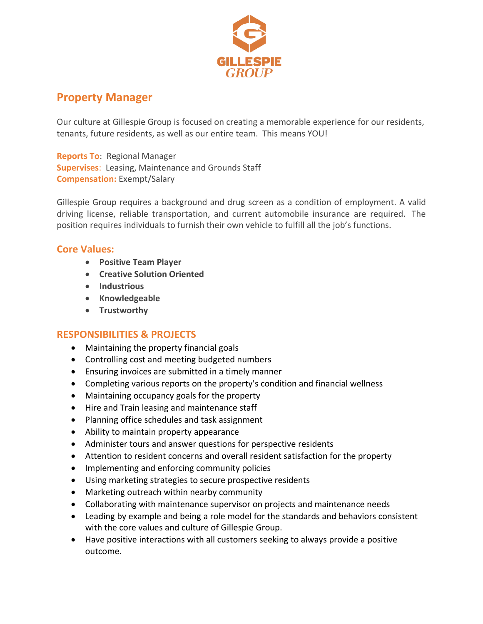

## **Property Manager**

Our culture at Gillespie Group is focused on creating a memorable experience for our residents, tenants, future residents, as well as our entire team. This means YOU!

**Reports To**: Regional Manager **Supervises**: Leasing, Maintenance and Grounds Staff **Compensation:** Exempt/Salary

Gillespie Group requires a background and drug screen as a condition of employment. A valid driving license, reliable transportation, and current automobile insurance are required. The position requires individuals to furnish their own vehicle to fulfill all the job's functions.

## **Core Values:**

- **Positive Team Player**
- **Creative Solution Oriented**
- **Industrious**
- **Knowledgeable**
- **Trustworthy**

## **RESPONSIBILITIES & PROJECTS**

- Maintaining the property financial goals
- Controlling cost and meeting budgeted numbers
- Ensuring invoices are submitted in a timely manner
- Completing various reports on the property's condition and financial wellness
- Maintaining occupancy goals for the property
- Hire and Train leasing and maintenance staff
- Planning office schedules and task assignment
- Ability to maintain property appearance
- Administer tours and answer questions for perspective residents
- Attention to resident concerns and overall resident satisfaction for the property
- Implementing and enforcing community policies
- Using marketing strategies to secure prospective residents
- Marketing outreach within nearby community
- Collaborating with maintenance supervisor on projects and maintenance needs
- Leading by example and being a role model for the standards and behaviors consistent with the core values and culture of Gillespie Group.
- Have positive interactions with all customers seeking to always provide a positive outcome.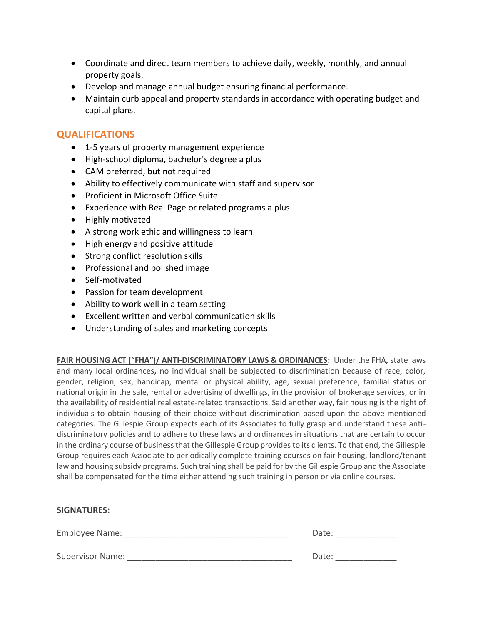- Coordinate and direct team members to achieve daily, weekly, monthly, and annual property goals.
- Develop and manage annual budget ensuring financial performance.
- Maintain curb appeal and property standards in accordance with operating budget and capital plans.

## **QUALIFICATIONS**

- 1-5 years of property management experience
- High-school diploma, bachelor's degree a plus
- CAM preferred, but not required
- Ability to effectively communicate with staff and supervisor
- Proficient in Microsoft Office Suite
- Experience with Real Page or related programs a plus
- Highly motivated
- A strong work ethic and willingness to learn
- High energy and positive attitude
- Strong conflict resolution skills
- Professional and polished image
- Self-motivated
- Passion for team development
- Ability to work well in a team setting
- Excellent written and verbal communication skills
- Understanding of sales and marketing concepts

**FAIR HOUSING ACT ("FHA")/ ANTI-DISCRIMINATORY LAWS & ORDINANCES:** Under the FHA**,** state laws and many local ordinances**,** no individual shall be subjected to discrimination because of race, color, gender, religion, sex, handicap, mental or physical ability, age, sexual preference, familial status or national origin in the sale, rental or advertising of dwellings, in the provision of brokerage services, or in the availability of residential real estate-related transactions. Said another way, fair housing is the right of individuals to obtain housing of their choice without discrimination based upon the above-mentioned categories. The Gillespie Group expects each of its Associates to fully grasp and understand these antidiscriminatory policies and to adhere to these laws and ordinances in situations that are certain to occur in the ordinary course of business that the Gillespie Group provides to its clients. To that end, the Gillespie Group requires each Associate to periodically complete training courses on fair housing, landlord/tenant law and housing subsidy programs. Such training shall be paid for by the Gillespie Group and the Associate shall be compensated for the time either attending such training in person or via online courses.

| <b>SIGNATURES:</b>      |       |
|-------------------------|-------|
| Employee Name:          | Date: |
| <b>Supervisor Name:</b> | Date: |